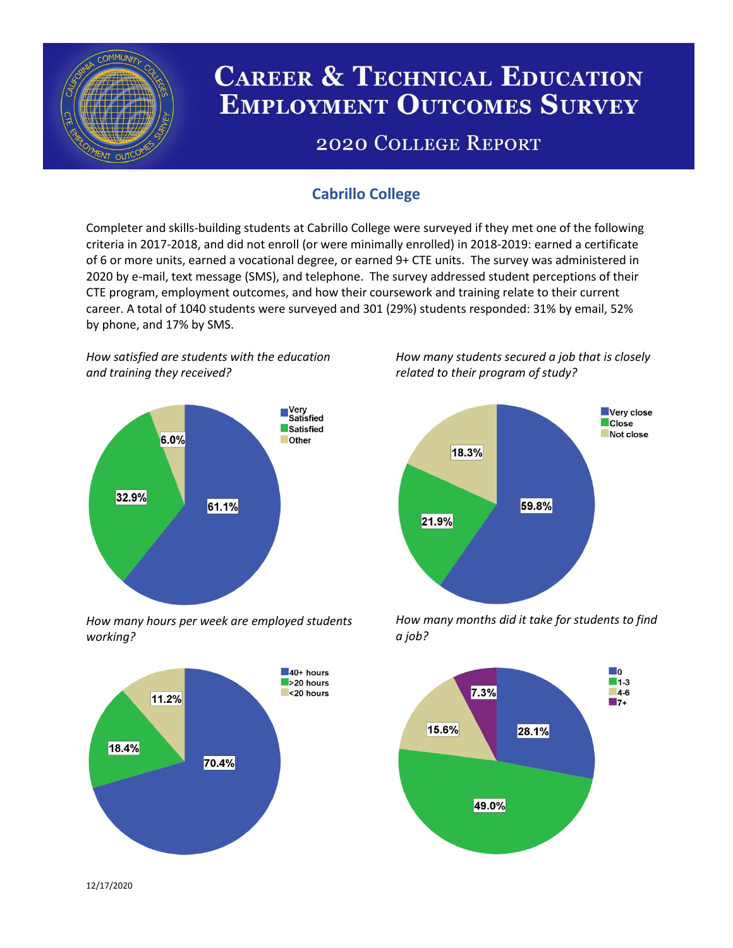

# **CAREER & TECHNICAL EDUCATION EMPLOYMENT OUTCOMES SURVEY**

## **2020 COLLEGE REPORT**

## **Cabrillo College**

Completer and skills-building students at Cabrillo College were surveyed if they met one of the following criteria in 2017-2018, and did not enroll (or were minimally enrolled) in 2018-2019: earned a certificate of 6 or more units, earned a vocational degree, or earned 9+ CTE units. The survey was administered in 2020 by e-mail, text message (SMS), and telephone. The survey addressed student perceptions of their CTE program, employment outcomes, and how their coursework and training relate to their current career. A total of 1040 students were surveyed and 301 (29%) students responded: 31% by email, 52% by phone, and 17% by SMS.

*How satisfied are students with the education and training they received?*



*How many hours per week are employed students working?*



*How many students secured a job that is closely related to their program of study?*



*How many months did it take for students to find a job?*



12/17/2020